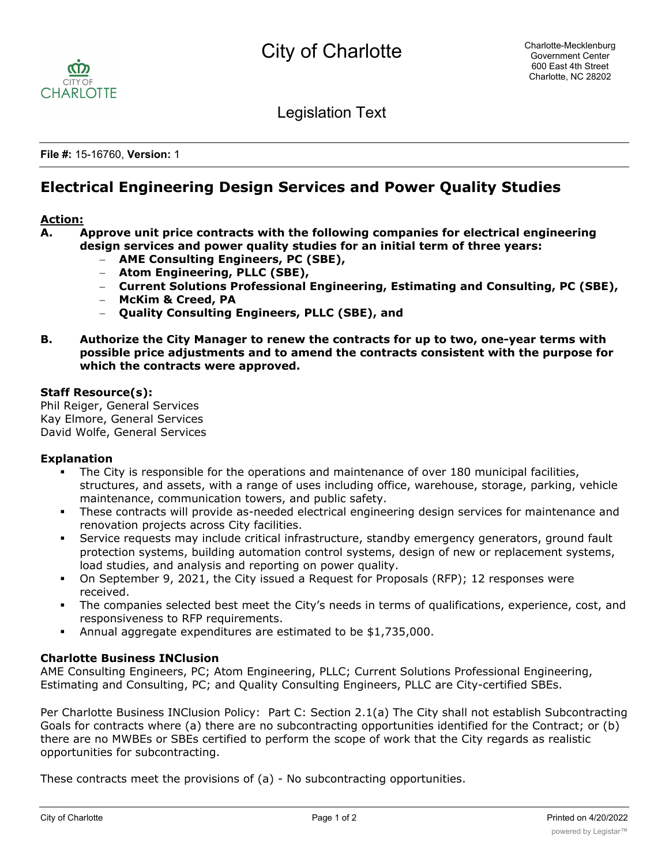

Legislation Text

**File #:** 15-16760, **Version:** 1

# **Electrical Engineering Design Services and Power Quality Studies**

## **Action:**

- **A. Approve unit price contracts with the following companies for electrical engineering design services and power quality studies for an initial term of three years:**
	- **AME Consulting Engineers, PC (SBE),**
	- **Atom Engineering, PLLC (SBE),**
	- **Current Solutions Professional Engineering, Estimating and Consulting, PC (SBE),**
	- **McKim & Creed, PA**
	- **Quality Consulting Engineers, PLLC (SBE), and**
- **B. Authorize the City Manager to renew the contracts for up to two, one-year terms with possible price adjustments and to amend the contracts consistent with the purpose for which the contracts were approved.**

#### **Staff Resource(s):**

Phil Reiger, General Services Kay Elmore, General Services David Wolfe, General Services

### **Explanation**

- The City is responsible for the operations and maintenance of over 180 municipal facilities, structures, and assets, with a range of uses including office, warehouse, storage, parking, vehicle maintenance, communication towers, and public safety.
- These contracts will provide as-needed electrical engineering design services for maintenance and renovation projects across City facilities.
- Service requests may include critical infrastructure, standby emergency generators, ground fault protection systems, building automation control systems, design of new or replacement systems, load studies, and analysis and reporting on power quality.
- On September 9, 2021, the City issued a Request for Proposals (RFP); 12 responses were received.
- § The companies selected best meet the City's needs in terms of qualifications, experience, cost, and responsiveness to RFP requirements.
- § Annual aggregate expenditures are estimated to be \$1,735,000.

### **Charlotte Business INClusion**

AME Consulting Engineers, PC; Atom Engineering, PLLC; Current Solutions Professional Engineering, Estimating and Consulting, PC; and Quality Consulting Engineers, PLLC are City-certified SBEs.

Per Charlotte Business INClusion Policy: Part C: Section 2.1(a) The City shall not establish Subcontracting Goals for contracts where (a) there are no subcontracting opportunities identified for the Contract; or (b) there are no MWBEs or SBEs certified to perform the scope of work that the City regards as realistic opportunities for subcontracting.

These contracts meet the provisions of (a) - No subcontracting opportunities.